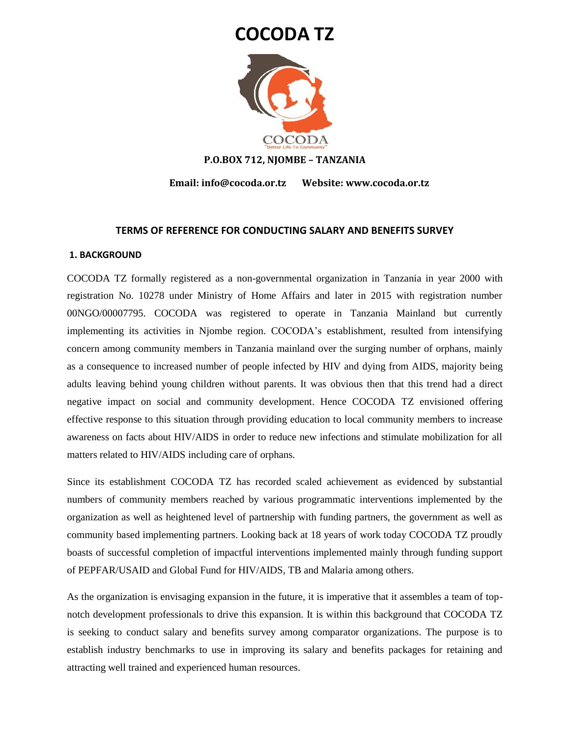# **COCODA TZ**



#### **P.O.BOX 712, NJOMBE – TANZANIA**

 **Email: info@cocoda.or.tz Website: www.cocoda.or.tz**

#### **TERMS OF REFERENCE FOR CONDUCTING SALARY AND BENEFITS SURVEY**

#### **1. BACKGROUND**

COCODA TZ formally registered as a non-governmental organization in Tanzania in year 2000 with registration No. 10278 under Ministry of Home Affairs and later in 2015 with registration number 00NGO/00007795. COCODA was registered to operate in Tanzania Mainland but currently implementing its activities in Njombe region. COCODA's establishment, resulted from intensifying concern among community members in Tanzania mainland over the surging number of orphans, mainly as a consequence to increased number of people infected by HIV and dying from AIDS, majority being adults leaving behind young children without parents. It was obvious then that this trend had a direct negative impact on social and community development. Hence COCODA TZ envisioned offering effective response to this situation through providing education to local community members to increase awareness on facts about HIV/AIDS in order to reduce new infections and stimulate mobilization for all matters related to HIV/AIDS including care of orphans.

Since its establishment COCODA TZ has recorded scaled achievement as evidenced by substantial numbers of community members reached by various programmatic interventions implemented by the organization as well as heightened level of partnership with funding partners, the government as well as community based implementing partners. Looking back at 18 years of work today COCODA TZ proudly boasts of successful completion of impactful interventions implemented mainly through funding support of PEPFAR/USAID and Global Fund for HIV/AIDS, TB and Malaria among others.

As the organization is envisaging expansion in the future, it is imperative that it assembles a team of topnotch development professionals to drive this expansion. It is within this background that COCODA TZ is seeking to conduct salary and benefits survey among comparator organizations. The purpose is to establish industry benchmarks to use in improving its salary and benefits packages for retaining and attracting well trained and experienced human resources.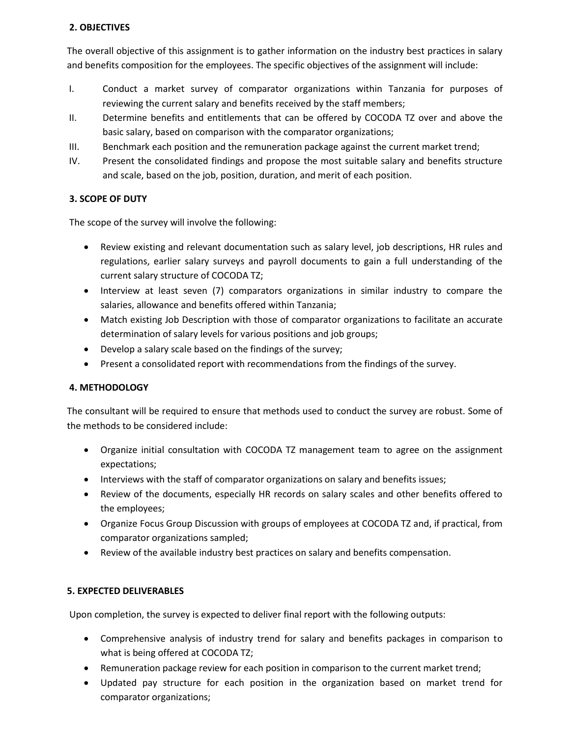## **2. OBJECTIVES**

The overall objective of this assignment is to gather information on the industry best practices in salary and benefits composition for the employees. The specific objectives of the assignment will include:

- I. Conduct a market survey of comparator organizations within Tanzania for purposes of reviewing the current salary and benefits received by the staff members;
- II. Determine benefits and entitlements that can be offered by COCODA TZ over and above the basic salary, based on comparison with the comparator organizations;
- III. Benchmark each position and the remuneration package against the current market trend;
- IV. Present the consolidated findings and propose the most suitable salary and benefits structure and scale, based on the job, position, duration, and merit of each position.

# **3. SCOPE OF DUTY**

The scope of the survey will involve the following:

- Review existing and relevant documentation such as salary level, job descriptions, HR rules and regulations, earlier salary surveys and payroll documents to gain a full understanding of the current salary structure of COCODA TZ;
- Interview at least seven (7) comparators organizations in similar industry to compare the salaries, allowance and benefits offered within Tanzania;
- Match existing Job Description with those of comparator organizations to facilitate an accurate determination of salary levels for various positions and job groups;
- Develop a salary scale based on the findings of the survey;
- Present a consolidated report with recommendations from the findings of the survey.

# **4. METHODOLOGY**

The consultant will be required to ensure that methods used to conduct the survey are robust. Some of the methods to be considered include:

- Organize initial consultation with COCODA TZ management team to agree on the assignment expectations;
- Interviews with the staff of comparator organizations on salary and benefits issues;
- Review of the documents, especially HR records on salary scales and other benefits offered to the employees;
- Organize Focus Group Discussion with groups of employees at COCODA TZ and, if practical, from comparator organizations sampled;
- Review of the available industry best practices on salary and benefits compensation.

# **5. EXPECTED DELIVERABLES**

Upon completion, the survey is expected to deliver final report with the following outputs:

- Comprehensive analysis of industry trend for salary and benefits packages in comparison to what is being offered at COCODA TZ;
- Remuneration package review for each position in comparison to the current market trend;
- Updated pay structure for each position in the organization based on market trend for comparator organizations;